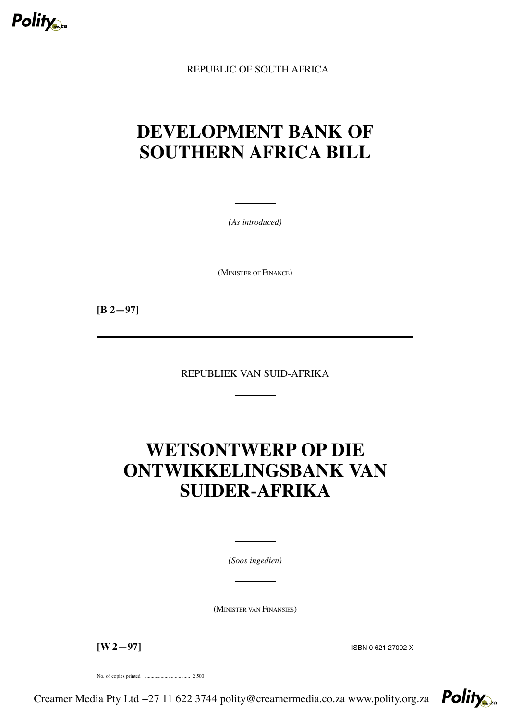

REPUBLIC OF SOUTH AFRICA

# **DEVELOPMENT BANK OF SOUTHERN AFRICA BILL**

*(As introduced)*

(MINISTER OF FINANCE)

**[B 2—97]**

REPUBLIEK VAN SUID-AFRIKA

# **WETSONTWERP OP DIE ONTWIKKELINGSBANK VAN SUIDER-AFRIKA**

*(Soos ingedien)*

(MINISTER VAN FINANSIES)

**[W 2—97]** ISBN <sup>0</sup> <sup>621</sup> <sup>27092</sup> <sup>X</sup>

No. of copies printed .................................... 2 500

Creamer Media Pty Ltd +27 11 622 3744 polity@creamermedia.co.za www.polity.org.za

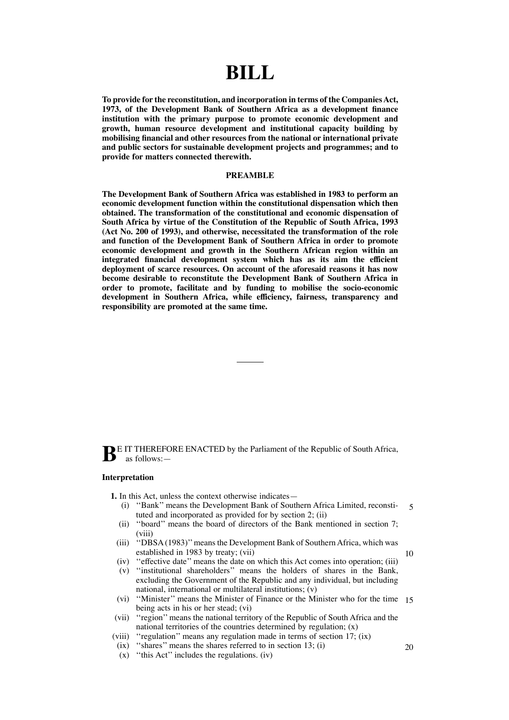# **BILL**

**To provide for the reconstitution, and incorporation in terms of the CompaniesAct, 1973, of the Development Bank of Southern Africa as a development finance institution with the primary purpose to promote economic development and growth, human resource development and institutional capacity building by mobilising financial and other resources from the national or international private and public sectors for sustainable development projects and programmes; and to provide for matters connected therewith.**

# **PREAMBLE**

**The Development Bank of Southern Africa was established in 1983 to perform an economic development function within the constitutional dispensation which then obtained. The transformation of the constitutional and economic dispensation of South Africa by virtue of the Constitution of the Republic of South Africa, 1993 (Act No. 200 of 1993), and otherwise, necessitated the transformation of the role and function of the Development Bank of Southern Africa in order to promote economic development and growth in the Southern African region within an integrated financial development system which has as its aim the efficient deployment of scarce resources. On account of the aforesaid reasons it has now become desirable to reconstitute the Development Bank of Southern Africa in order to promote, facilitate and by funding to mobilise the socio-economic development in Southern Africa, while efficiency, fairness, transparency and responsibility are promoted at the same time.**

**B**<sup>E</sup> IT THEREFORE ENACTED by the Parliament of the Republic of South Africa, as follows:—

# **Interpretation**

**1.** In this Act, unless the context otherwise indicates—

- (i) ''Bank'' means the Development Bank of Southern Africa Limited, reconstituted and incorporated as provided for by section 2; (ii) 5
- (ii) ''board'' means the board of directors of the Bank mentioned in section 7; (viii)
- (iii) "DBSA(1983)" means the Development Bank of Southern Africa, which was established in 1983 by treaty; (vii)
- (iv) ''effective date'' means the date on which this Act comes into operation; (iii)
- (v) ''institutional shareholders'' means the holders of shares in the Bank, excluding the Government of the Republic and any individual, but including national, international or multilateral institutions; (v)
- (vi) ''Minister'' means the Minister of Finance or the Minister who for the time 15 being acts in his or her stead; (vi)
- (vii) ''region'' means the national territory of the Republic of South Africa and the national territories of the countries determined by regulation; (x)
- (viii) ''regulation'' means any regulation made in terms of section 17; (ix)
- $(ix)$  "shares" means the shares referred to in section 13; (i)
- (x) ''this Act'' includes the regulations. (iv)

20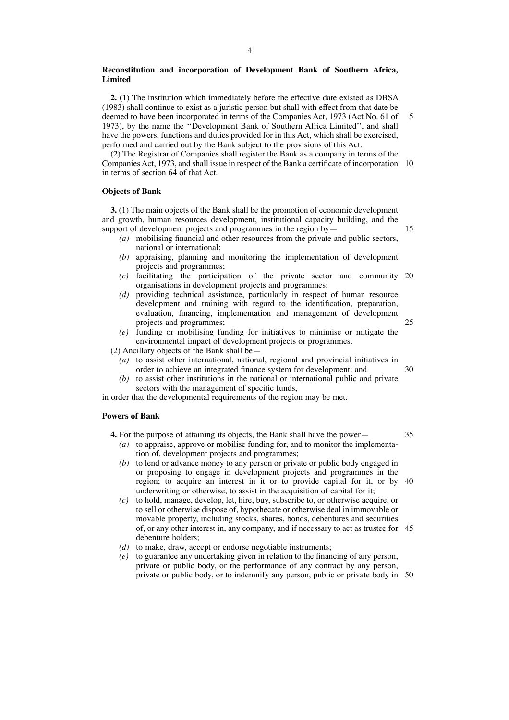# **Reconstitution and incorporation of Development Bank of Southern Africa, Limited**

**2.** (1) The institution which immediately before the effective date existed as DBSA (1983) shall continue to exist as a juristic person but shall with effect from that date be deemed to have been incorporated in terms of the Companies Act, 1973 (Act No. 61 of 1973), by the name the ''Development Bank of Southern Africa Limited'', and shall have the powers, functions and duties provided for in this Act, which shall be exercised, performed and carried out by the Bank subject to the provisions of this Act. 5

(2) The Registrar of Companies shall register the Bank as a company in terms of the Companies Act, 1973, and shall issue in respect of the Bank a certificate of incorporation 10 in terms of section 64 of that Act.

### **Objects of Bank**

**3.** (1) The main objects of the Bank shall be the promotion of economic development and growth, human resources development, institutional capacity building, and the support of development projects and programmes in the region by-

- *(a)* mobilising financial and other resources from the private and public sectors, national or international;
- *(b)* appraising, planning and monitoring the implementation of development projects and programmes;
- *(c)* facilitating the participation of the private sector and community 20 organisations in development projects and programmes;
- *(d)* providing technical assistance, particularly in respect of human resource development and training with regard to the identification, preparation, evaluation, financing, implementation and management of development projects and programmes;
- *(e)* funding or mobilising funding for initiatives to minimise or mitigate the environmental impact of development projects or programmes.

(2) Ancillary objects of the Bank shall be—

- *(a)* to assist other international, national, regional and provincial initiatives in order to achieve an integrated finance system for development; and 30
- *(b)* to assist other institutions in the national or international public and private sectors with the management of specific funds,

in order that the developmental requirements of the region may be met.

# **Powers of Bank**

- **4.** For the purpose of attaining its objects, the Bank shall have the power— *(a)* to appraise, approve or mobilise funding for, and to monitor the implementation of, development projects and programmes;
	- *(b)* to lend or advance money to any person or private or public body engaged in or proposing to engage in development projects and programmes in the region; to acquire an interest in it or to provide capital for it, or by 40 underwriting or otherwise, to assist in the acquisition of capital for it;
	- *(c)* to hold, manage, develop, let, hire, buy, subscribe to, or otherwise acquire, or to sell or otherwise dispose of, hypothecate or otherwise deal in immovable or movable property, including stocks, shares, bonds, debentures and securities of, or any other interest in, any company, and if necessary to act as trustee for 45 debenture holders;
	- *(d)* to make, draw, accept or endorse negotiable instruments;
	- *(e)* to guarantee any undertaking given in relation to the financing of any person, private or public body, or the performance of any contract by any person, private or public body, or to indemnify any person, public or private body in 50

35

15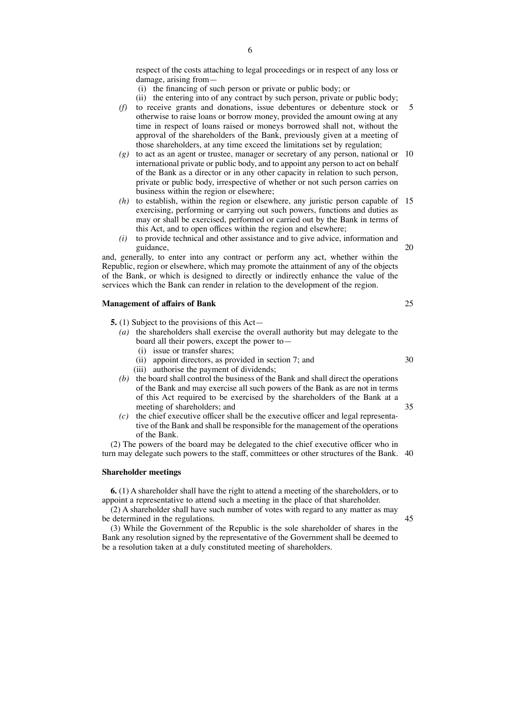respect of the costs attaching to legal proceedings or in respect of any loss or damage, arising from—

- (i) the financing of such person or private or public body; or
- (ii) the entering into of any contract by such person, private or public body;
- *(f)* to receive grants and donations, issue debentures or debenture stock or otherwise to raise loans or borrow money, provided the amount owing at any time in respect of loans raised or moneys borrowed shall not, without the approval of the shareholders of the Bank, previously given at a meeting of those shareholders, at any time exceed the limitations set by regulation; 5
- *(g)* to act as an agent or trustee, manager or secretary of any person, national or 10 international private or public body, and to appoint any person to act on behalf of the Bank as a director or in any other capacity in relation to such person, private or public body, irrespective of whether or not such person carries on business within the region or elsewhere;
- *(h)* to establish, within the region or elsewhere, any juristic person capable of 15 exercising, performing or carrying out such powers, functions and duties as may or shall be exercised, performed or carried out by the Bank in terms of this Act, and to open offices within the region and elsewhere;
- *(i)* to provide technical and other assistance and to give advice, information and guidance,

and, generally, to enter into any contract or perform any act, whether within the Republic, region or elsewhere, which may promote the attainment of any of the objects of the Bank, or which is designed to directly or indirectly enhance the value of the services which the Bank can render in relation to the development of the region.

### **Management of affairs of Bank**

- **5.** (1) Subject to the provisions of this Act—
	- *(a)* the shareholders shall exercise the overall authority but may delegate to the board all their powers, except the power to—
		- (i) issue or transfer shares;
		- (ii) appoint directors, as provided in section 7; and
		- (iii) authorise the payment of dividends;
	- *(b)* the board shall control the business of the Bank and shall direct the operations of the Bank and may exercise all such powers of the Bank as are not in terms of this Act required to be exercised by the shareholders of the Bank at a meeting of shareholders; and
	- *(c)* the chief executive officer shall be the executive officer and legal representative of the Bank and shall be responsible for the management of the operations of the Bank.

(2) The powers of the board may be delegated to the chief executive officer who in turn may delegate such powers to the staff, committees or other structures of the Bank. 40

#### **Shareholder meetings**

**6.** (1) A shareholder shall have the right to attend a meeting of the shareholders, or to appoint a representative to attend such a meeting in the place of that shareholder.

(2) A shareholder shall have such number of votes with regard to any matter as may be determined in the regulations.

(3) While the Government of the Republic is the sole shareholder of shares in the Bank any resolution signed by the representative of the Government shall be deemed to be a resolution taken at a duly constituted meeting of shareholders.

20

25

30

- 
- 45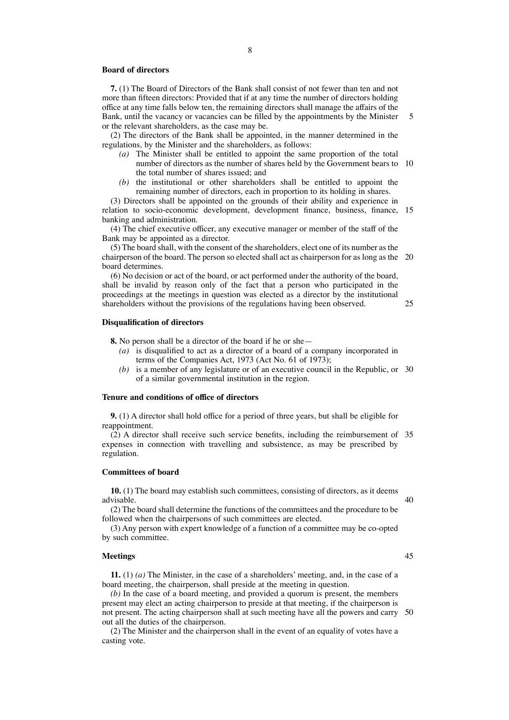# **Board of directors**

**7.** (1) The Board of Directors of the Bank shall consist of not fewer than ten and not more than fifteen directors: Provided that if at any time the number of directors holding office at any time falls below ten, the remaining directors shall manage the affairs of the Bank, until the vacancy or vacancies can be filled by the appointments by the Minister or the relevant shareholders, as the case may be. 5

(2) The directors of the Bank shall be appointed, in the manner determined in the regulations, by the Minister and the shareholders, as follows:

- *(a)* The Minister shall be entitled to appoint the same proportion of the total number of directors as the number of shares held by the Government bears to 10 the total number of shares issued; and
- *(b)* the institutional or other shareholders shall be entitled to appoint the remaining number of directors, each in proportion to its holding in shares.

(3) Directors shall be appointed on the grounds of their ability and experience in relation to socio-economic development, development finance, business, finance, 15 banking and administration.

(4) The chief executive officer, any executive manager or member of the staff of the Bank may be appointed as a director.

(5) The board shall, with the consent of the shareholders, elect one of its number asthe chairperson of the board. The person so elected shall act as chairperson for as long as the 20 board determines.

(6) No decision or act of the board, or act performed under the authority of the board, shall be invalid by reason only of the fact that a person who participated in the proceedings at the meetings in question was elected as a director by the institutional shareholders without the provisions of the regulations having been observed. 25

# **Disqualification of directors**

**8.** No person shall be a director of the board if he or she—

- *(a)* is disqualified to act as a director of a board of a company incorporated in terms of the Companies Act, 1973 (Act No. 61 of 1973);
- *(b)* is a member of any legislature or of an executive council in the Republic, or 30 of a similar governmental institution in the region.

#### **Tenure and conditions of office of directors**

**9.** (1) A director shall hold office for a period of three years, but shall be eligible for reappointment.

(2) A director shall receive such service benefits, including the reimbursement of 35 expenses in connection with travelling and subsistence, as may be prescribed by regulation.

#### **Committees of board**

**10.** (1) The board may establish such committees, consisting of directors, as it deems advisable.

(2) The board shall determine the functions of the committees and the procedure to be followed when the chairpersons of such committees are elected.

(3) Any person with expert knowledge of a function of a committee may be co-opted by such committee.

# **Meetings**

**11.** (1) *(a)* The Minister, in the case of a shareholders' meeting, and, in the case of a board meeting, the chairperson, shall preside at the meeting in question.

*(b)* In the case of a board meeting, and provided a quorum is present, the members present may elect an acting chairperson to preside at that meeting, if the chairperson is not present. The acting chairperson shall at such meeting have all the powers and carry 50out all the duties of the chairperson.

(2) The Minister and the chairperson shall in the event of an equality of votes have a casting vote.

45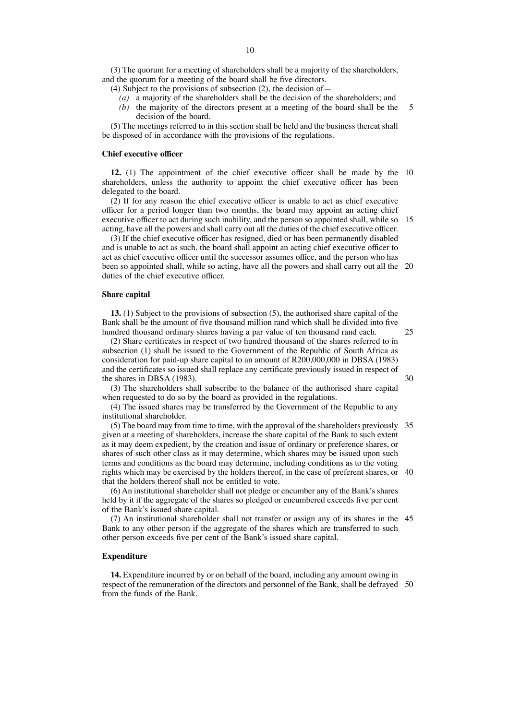(3) The quorum for a meeting of shareholders shall be a majority of the shareholders, and the quorum for a meeting of the board shall be five directors.

(4) Subject to the provisions of subsection (2), the decision of—

- *(a)* a majority of the shareholders shall be the decision of the shareholders; and
- *(b)* the majority of the directors present at a meeting of the board shall be the decision of the board. 5

(5) The meetings referred to in this section shall be held and the business thereat shall be disposed of in accordance with the provisions of the regulations.

# **Chief executive officer**

**12.** (1) The appointment of the chief executive officer shall be made by the 10 shareholders, unless the authority to appoint the chief executive officer has been delegated to the board.

(2) If for any reason the chief executive officer is unable to act as chief executive officer for a period longer than two months, the board may appoint an acting chief executive officer to act during such inability, and the person so appointed shall, while so 15 acting, have all the powers and shall carry out all the duties of the chief executive officer.

(3) If the chief executive officer has resigned, died or has been permanently disabled and is unable to act as such, the board shall appoint an acting chief executive officer to act as chief executive officer until the successor assumes office, and the person who has been so appointed shall, while so acting, have all the powers and shall carry out all the 20 duties of the chief executive officer.

#### **Share capital**

**13.** (1) Subject to the provisions of subsection (5), the authorised share capital of the Bank shall be the amount of five thousand million rand which shall be divided into five hundred thousand ordinary shares having a par value of ten thousand rand each.

25

30

(2) Share certificates in respect of two hundred thousand of the shares referred to in subsection (1) shall be issued to the Government of the Republic of South Africa as consideration for paid-up share capital to an amount of R200,000,000 in DBSA (1983) and the certificates so issued shall replace any certificate previously issued in respect of the shares in DBSA (1983).

(3) The shareholders shall subscribe to the balance of the authorised share capital when requested to do so by the board as provided in the regulations.

(4) The issued shares may be transferred by the Government of the Republic to any institutional shareholder.

(5) The board may from time to time, with the approval of the shareholders previously 35 given at a meeting of shareholders, increase the share capital of the Bank to such extent as it may deem expedient, by the creation and issue of ordinary or preference shares, or shares of such other class as it may determine, which shares may be issued upon such terms and conditions as the board may determine, including conditions as to the voting rights which may be exercised by the holders thereof, in the case of preferent shares, or 40 that the holders thereof shall not be entitled to vote.

(6) An institutional shareholder shall not pledge or encumber any of the Bank's shares held by it if the aggregate of the shares so pledged or encumbered exceeds five per cent of the Bank's issued share capital.

(7) An institutional shareholder shall not transfer or assign any of its shares in the 45 Bank to any other person if the aggregate of the shares which are transferred to such other person exceeds five per cent of the Bank's issued share capital.

### **Expenditure**

**14.** Expenditure incurred by or on behalf of the board, including any amount owing in respect of the remuneration of the directors and personnel of the Bank, shall be defrayed 50from the funds of the Bank.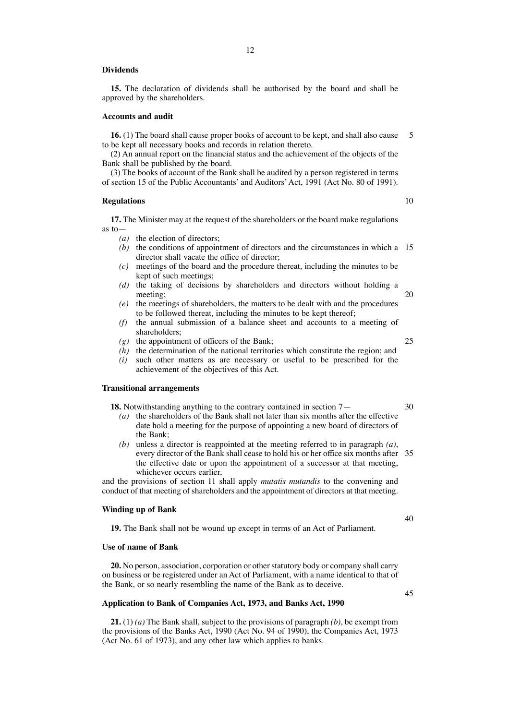# **Dividends**

**15.** The declaration of dividends shall be authorised by the board and shall be approved by the shareholders.

#### **Accounts and audit**

**16.** (1) The board shall cause proper books of account to be kept, and shall also cause to be kept all necessary books and records in relation thereto. 5

(2) An annual report on the financial status and the achievement of the objects of the Bank shall be published by the board.

(3) The books of account of the Bank shall be audited by a person registered in terms of section 15 of the Public Accountants' and Auditors'Act, 1991 (Act No. 80 of 1991).

#### **Regulations**

**17.** The Minister may at the request of the shareholders or the board make regulations as to—

- *(a)* the election of directors;
- *(b)* the conditions of appointment of directors and the circumstances in which a 15 director shall vacate the office of director;
- *(c)* meetings of the board and the procedure thereat, including the minutes to be kept of such meetings;
- *(d)* the taking of decisions by shareholders and directors without holding a meeting; 20
- *(e)* the meetings of shareholders, the matters to be dealt with and the procedures to be followed thereat, including the minutes to be kept thereof;
- *(f)* the annual submission of a balance sheet and accounts to a meeting of shareholders;
- *(g)* the appointment of officers of the Bank;
- *(h)* the determination of the national territories which constitute the region; and
- *(i)* such other matters as are necessary or useful to be prescribed for the achievement of the objectives of this Act.

# **Transitional arrangements**

- **18.** Notwithstanding anything to the contrary contained in section 7—
	- *(a)* the shareholders of the Bank shall not later than six months after the effective date hold a meeting for the purpose of appointing a new board of directors of the Bank;
	- *(b)* unless a director is reappointed at the meeting referred to in paragraph *(a)*, every director of the Bank shall cease to hold his or her office six months after 35 the effective date or upon the appointment of a successor at that meeting, whichever occurs earlier,

and the provisions of section 11 shall apply *mutatis mutandis* to the convening and conduct of that meeting of shareholders and the appointment of directors at that meeting.

### **Winding up of Bank**

**19.** The Bank shall not be wound up except in terms of an Act of Parliament.

### **Use of name of Bank**

**20.** No person, association, corporation or otherstatutory body or company shall carry on business or be registered under an Act of Parliament, with a name identical to that of the Bank, or so nearly resembling the name of the Bank as to deceive.

# **Application to Bank of Companies Act, 1973, and Banks Act, 1990**

**21.** (1) *(a)* The Bank shall, subject to the provisions of paragraph *(b)*, be exempt from the provisions of the Banks Act, 1990 (Act No. 94 of 1990), the Companies Act, 1973 (Act No. 61 of 1973), and any other law which applies to banks.

40

# 25

# 30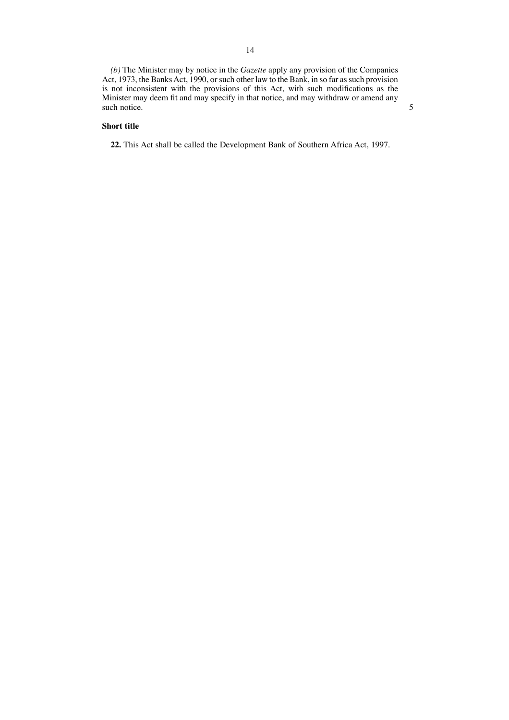*(b)* The Minister may by notice in the *Gazette* apply any provision of the Companies Act, 1973, the Banks Act, 1990, or such other law to the Bank, in so far as such provision is not inconsistent with the provisions of this Act, with such modifications as the Minister may deem fit and may specify in that notice, and may withdraw or amend any such notice.

5

# **Short title**

**22.** This Act shall be called the Development Bank of Southern Africa Act, 1997.